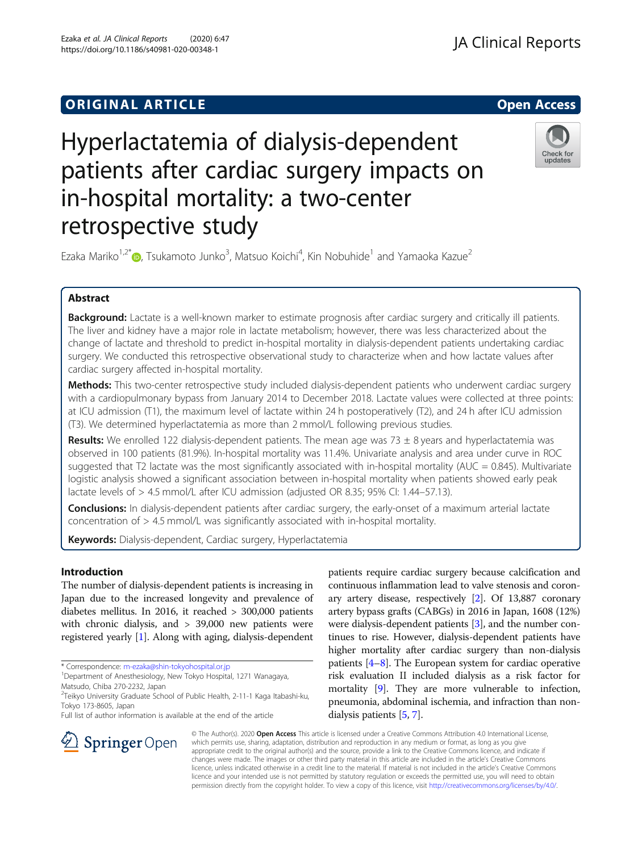Ezaka et al. JA Clinical Reports (2020) 6:47 https://doi.org/10.1186/s40981-020-00348-1

retrospective study

# Check for updates

Ezaka Mariko $^{1,2^{\ast}}$  , Tsukamoto Junko $^3$ , Matsuo Koichi $^4$ , Kin Nobuhide $^1$  and Yamaoka Kazue $^2$ 

Hyperlactatemia of dialysis-dependent

in-hospital mortality: a two-center

patients after cardiac surgery impacts on

## Abstract

Background: Lactate is a well-known marker to estimate prognosis after cardiac surgery and critically ill patients. The liver and kidney have a major role in lactate metabolism; however, there was less characterized about the change of lactate and threshold to predict in-hospital mortality in dialysis-dependent patients undertaking cardiac surgery. We conducted this retrospective observational study to characterize when and how lactate values after cardiac surgery affected in-hospital mortality.

Methods: This two-center retrospective study included dialysis-dependent patients who underwent cardiac surgery with a cardiopulmonary bypass from January 2014 to December 2018. Lactate values were collected at three points: at ICU admission (T1), the maximum level of lactate within 24 h postoperatively (T2), and 24 h after ICU admission (T3). We determined hyperlactatemia as more than 2 mmol/L following previous studies.

Results: We enrolled 122 dialysis-dependent patients. The mean age was 73  $\pm$  8 years and hyperlactatemia was observed in 100 patients (81.9%). In-hospital mortality was 11.4%. Univariate analysis and area under curve in ROC suggested that T2 lactate was the most significantly associated with in-hospital mortality (AUC =  $0.845$ ). Multivariate logistic analysis showed a significant association between in-hospital mortality when patients showed early peak lactate levels of > 4.5 mmol/L after ICU admission (adjusted OR 8.35; 95% CI: 1.44–57.13).

Conclusions: In dialysis-dependent patients after cardiac surgery, the early-onset of a maximum arterial lactate concentration of > 4.5 mmol/L was significantly associated with in-hospital mortality.

Keywords: Dialysis-dependent, Cardiac surgery, Hyperlactatemia

### Introduction

The number of dialysis-dependent patients is increasing in Japan due to the increased longevity and prevalence of diabetes mellitus. In 2016, it reached > 300,000 patients with chronic dialysis, and > 39,000 new patients were registered yearly [[1](#page-6-0)]. Along with aging, dialysis-dependent

\* Correspondence: [m-ezaka@shin-tokyohospital.or.jp](mailto:m-ezaka@shin-tokyohospital.or.jp) <sup>1</sup>

<sup>2</sup>Teikyo University Graduate School of Public Health, 2-11-1 Kaga Itabashi-ku,

SpringerOpen

patients require cardiac surgery because calcification and continuous inflammation lead to valve stenosis and coronary artery disease, respectively [[2](#page-6-0)]. Of 13,887 coronary artery bypass grafts (CABGs) in 2016 in Japan, 1608 (12%) were dialysis-dependent patients [\[3](#page-6-0)], and the number continues to rise. However, dialysis-dependent patients have higher mortality after cardiac surgery than non-dialysis patients [\[4](#page-6-0)–[8\]](#page-6-0). The European system for cardiac operative risk evaluation II included dialysis as a risk factor for mortality [[9](#page-6-0)]. They are more vulnerable to infection, pneumonia, abdominal ischemia, and infraction than nondialysis patients [\[5,](#page-6-0) [7](#page-6-0)].

© The Author(s). 2020 Open Access This article is licensed under a Creative Commons Attribution 4.0 International License, which permits use, sharing, adaptation, distribution and reproduction in any medium or format, as long as you give appropriate credit to the original author(s) and the source, provide a link to the Creative Commons licence, and indicate if changes were made. The images or other third party material in this article are included in the article's Creative Commons licence, unless indicated otherwise in a credit line to the material. If material is not included in the article's Creative Commons licence and your intended use is not permitted by statutory regulation or exceeds the permitted use, you will need to obtain permission directly from the copyright holder. To view a copy of this licence, visit <http://creativecommons.org/licenses/by/4.0/>.

Department of Anesthesiology, New Tokyo Hospital, 1271 Wanagaya, Matsudo, Chiba 270-2232, Japan

Tokyo 173-8605, Japan Full list of author information is available at the end of the article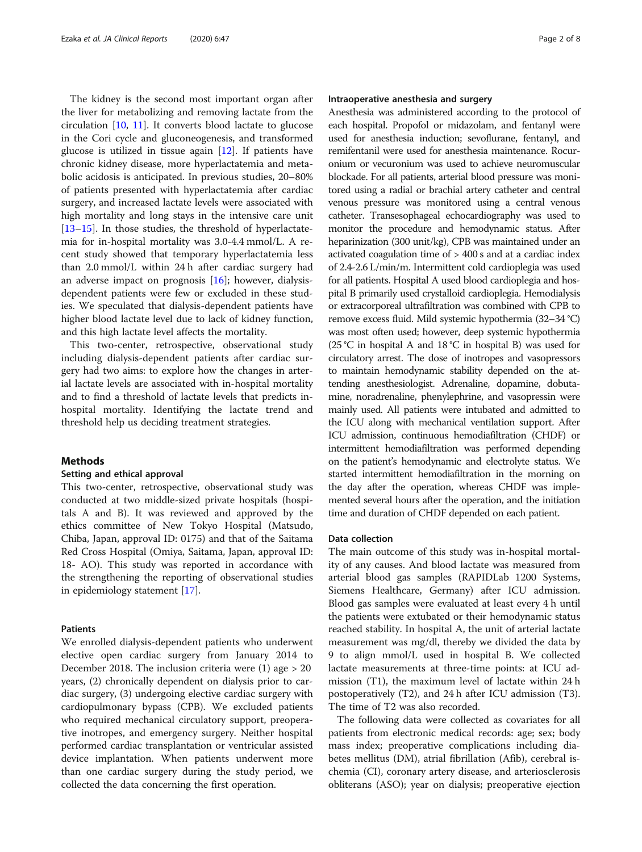The kidney is the second most important organ after the liver for metabolizing and removing lactate from the circulation  $[10, 11]$  $[10, 11]$  $[10, 11]$ . It converts blood lactate to glucose in the Cori cycle and gluconeogenesis, and transformed glucose is utilized in tissue again [\[12](#page-6-0)]. If patients have chronic kidney disease, more hyperlactatemia and metabolic acidosis is anticipated. In previous studies, 20–80% of patients presented with hyperlactatemia after cardiac surgery, and increased lactate levels were associated with high mortality and long stays in the intensive care unit [[13](#page-6-0)–[15](#page-6-0)]. In those studies, the threshold of hyperlactatemia for in-hospital mortality was 3.0-4.4 mmol/L. A recent study showed that temporary hyperlactatemia less than 2.0 mmol/L within 24 h after cardiac surgery had an adverse impact on prognosis  $[16]$ ; however, dialysisdependent patients were few or excluded in these studies. We speculated that dialysis-dependent patients have higher blood lactate level due to lack of kidney function, and this high lactate level affects the mortality.

This two-center, retrospective, observational study including dialysis-dependent patients after cardiac surgery had two aims: to explore how the changes in arterial lactate levels are associated with in-hospital mortality and to find a threshold of lactate levels that predicts inhospital mortality. Identifying the lactate trend and threshold help us deciding treatment strategies.

#### **Methods**

#### Setting and ethical approval

This two-center, retrospective, observational study was conducted at two middle-sized private hospitals (hospitals A and B). It was reviewed and approved by the ethics committee of New Tokyo Hospital (Matsudo, Chiba, Japan, approval ID: 0175) and that of the Saitama Red Cross Hospital (Omiya, Saitama, Japan, approval ID: 18- AO). This study was reported in accordance with the strengthening the reporting of observational studies in epidemiology statement [\[17\]](#page-6-0).

#### Patients

We enrolled dialysis-dependent patients who underwent elective open cardiac surgery from January 2014 to December 2018. The inclusion criteria were (1) age > 20 years, (2) chronically dependent on dialysis prior to cardiac surgery, (3) undergoing elective cardiac surgery with cardiopulmonary bypass (CPB). We excluded patients who required mechanical circulatory support, preoperative inotropes, and emergency surgery. Neither hospital performed cardiac transplantation or ventricular assisted device implantation. When patients underwent more than one cardiac surgery during the study period, we collected the data concerning the first operation.

#### Intraoperative anesthesia and surgery

Anesthesia was administered according to the protocol of each hospital. Propofol or midazolam, and fentanyl were used for anesthesia induction; sevoflurane, fentanyl, and remifentanil were used for anesthesia maintenance. Rocuronium or vecuronium was used to achieve neuromuscular blockade. For all patients, arterial blood pressure was monitored using a radial or brachial artery catheter and central venous pressure was monitored using a central venous catheter. Transesophageal echocardiography was used to monitor the procedure and hemodynamic status. After heparinization (300 unit/kg), CPB was maintained under an activated coagulation time of > 400 s and at a cardiac index of 2.4-2.6 L/min/m. Intermittent cold cardioplegia was used for all patients. Hospital A used blood cardioplegia and hospital B primarily used crystalloid cardioplegia. Hemodialysis or extracorporeal ultrafiltration was combined with CPB to remove excess fluid. Mild systemic hypothermia (32–34 °C) was most often used; however, deep systemic hypothermia (25 °C in hospital A and 18 °C in hospital B) was used for circulatory arrest. The dose of inotropes and vasopressors to maintain hemodynamic stability depended on the attending anesthesiologist. Adrenaline, dopamine, dobutamine, noradrenaline, phenylephrine, and vasopressin were mainly used. All patients were intubated and admitted to the ICU along with mechanical ventilation support. After ICU admission, continuous hemodiafiltration (CHDF) or intermittent hemodiafiltration was performed depending on the patient's hemodynamic and electrolyte status. We started intermittent hemodiafiltration in the morning on the day after the operation, whereas CHDF was implemented several hours after the operation, and the initiation time and duration of CHDF depended on each patient.

#### Data collection

The main outcome of this study was in-hospital mortality of any causes. And blood lactate was measured from arterial blood gas samples (RAPIDLab 1200 Systems, Siemens Healthcare, Germany) after ICU admission. Blood gas samples were evaluated at least every 4 h until the patients were extubated or their hemodynamic status reached stability. In hospital A, the unit of arterial lactate measurement was mg/dl, thereby we divided the data by 9 to align mmol/L used in hospital B. We collected lactate measurements at three-time points: at ICU admission (T1), the maximum level of lactate within 24 h postoperatively (T2), and 24 h after ICU admission (T3). The time of T2 was also recorded.

The following data were collected as covariates for all patients from electronic medical records: age; sex; body mass index; preoperative complications including diabetes mellitus (DM), atrial fibrillation (Afib), cerebral ischemia (CI), coronary artery disease, and arteriosclerosis obliterans (ASO); year on dialysis; preoperative ejection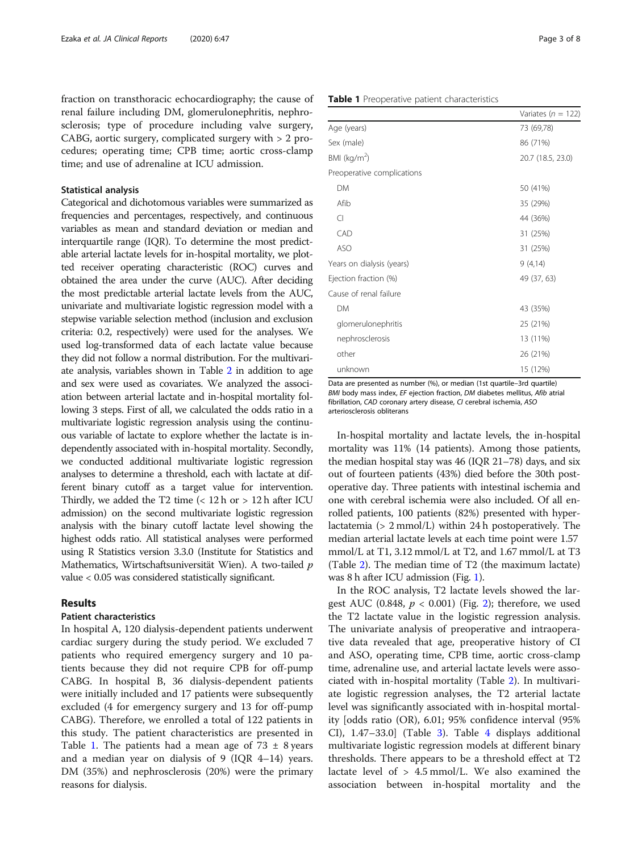fraction on transthoracic echocardiography; the cause of renal failure including DM, glomerulonephritis, nephrosclerosis; type of procedure including valve surgery, CABG, aortic surgery, complicated surgery with > 2 procedures; operating time; CPB time; aortic cross-clamp time; and use of adrenaline at ICU admission.

#### Statistical analysis

Categorical and dichotomous variables were summarized as frequencies and percentages, respectively, and continuous variables as mean and standard deviation or median and interquartile range (IQR). To determine the most predictable arterial lactate levels for in-hospital mortality, we plotted receiver operating characteristic (ROC) curves and obtained the area under the curve (AUC). After deciding the most predictable arterial lactate levels from the AUC, univariate and multivariate logistic regression model with a stepwise variable selection method (inclusion and exclusion criteria: 0.2, respectively) were used for the analyses. We used log-transformed data of each lactate value because they did not follow a normal distribution. For the multivariate analysis, variables shown in Table [2](#page-3-0) in addition to age and sex were used as covariates. We analyzed the association between arterial lactate and in-hospital mortality following 3 steps. First of all, we calculated the odds ratio in a multivariate logistic regression analysis using the continuous variable of lactate to explore whether the lactate is independently associated with in-hospital mortality. Secondly, we conducted additional multivariate logistic regression analyses to determine a threshold, each with lactate at different binary cutoff as a target value for intervention. Thirdly, we added the T2 time  $\left($  < 12 h or > 12 h after ICU admission) on the second multivariate logistic regression analysis with the binary cutoff lactate level showing the highest odds ratio. All statistical analyses were performed using R Statistics version 3.3.0 (Institute for Statistics and Mathematics, Wirtschaftsuniversität Wien). A two-tailed p value < 0.05 was considered statistically significant.

#### Results

#### Patient characteristics

In hospital A, 120 dialysis-dependent patients underwent cardiac surgery during the study period. We excluded 7 patients who required emergency surgery and 10 patients because they did not require CPB for off-pump CABG. In hospital B, 36 dialysis-dependent patients were initially included and 17 patients were subsequently excluded (4 for emergency surgery and 13 for off-pump CABG). Therefore, we enrolled a total of 122 patients in this study. The patient characteristics are presented in Table 1. The patients had a mean age of  $73 \pm 8$  years and a median year on dialysis of 9 (IQR 4–14) years. DM (35%) and nephrosclerosis (20%) were the primary reasons for dialysis.

#### Table 1 Preoperative patient characteristics

| . coperant c paneric erial accerton co |                        |  |
|----------------------------------------|------------------------|--|
|                                        | Variates ( $n = 122$ ) |  |
| Age (years)                            | 73 (69,78)             |  |
| Sex (male)                             | 86 (71%)               |  |
| BMI (kg/m <sup>2</sup> )               | 20.7 (18.5, 23.0)      |  |
| Preoperative complications             |                        |  |
| <b>DM</b>                              | 50 (41%)               |  |
| Afib                                   | 35 (29%)               |  |
| $\bigcap$                              | 44 (36%)               |  |
| CAD                                    | 31 (25%)               |  |
| <b>ASO</b>                             | 31 (25%)               |  |
| Years on dialysis (years)              | 9(4,14)                |  |
| Ejection fraction (%)                  | 49 (37, 63)            |  |
| Cause of renal failure                 |                        |  |
| <b>DM</b>                              | 43 (35%)               |  |
| glomerulonephritis                     | 25 (21%)               |  |
| nephrosclerosis                        | 13 (11%)               |  |
| other                                  | 26 (21%)               |  |
| unknown                                | 15 (12%)               |  |
|                                        |                        |  |

Data are presented as number (%), or median (1st quartile–3rd quartile) BMI body mass index, EF ejection fraction, DM diabetes mellitus, Afib atrial fibrillation, CAD coronary artery disease, CI cerebral ischemia, ASO arteriosclerosis obliterans

In-hospital mortality and lactate levels, the in-hospital mortality was 11% (14 patients). Among those patients, the median hospital stay was 46 (IQR 21–78) days, and six out of fourteen patients (43%) died before the 30th postoperative day. Three patients with intestinal ischemia and one with cerebral ischemia were also included. Of all enrolled patients, 100 patients (82%) presented with hyperlactatemia (> 2 mmol/L) within 24 h postoperatively. The median arterial lactate levels at each time point were 1.57 mmol/L at T1, 3.12 mmol/L at T2, and 1.67 mmol/L at T3 (Table [2\)](#page-3-0). The median time of T2 (the maximum lactate) was 8 h after ICU admission (Fig. [1](#page-4-0)).

In the ROC analysis, T2 lactate levels showed the largest AUC (0.848,  $p < 0.001$ ) (Fig. [2\)](#page-4-0); therefore, we used the T2 lactate value in the logistic regression analysis. The univariate analysis of preoperative and intraoperative data revealed that age, preoperative history of CI and ASO, operating time, CPB time, aortic cross-clamp time, adrenaline use, and arterial lactate levels were associated with in-hospital mortality (Table [2\)](#page-3-0). In multivariate logistic regression analyses, the T2 arterial lactate level was significantly associated with in-hospital mortality [odds ratio (OR), 6.01; 95% confidence interval (95% CI), 1.47–33.0] (Table [3\)](#page-5-0). Table [4](#page-5-0) displays additional multivariate logistic regression models at different binary thresholds. There appears to be a threshold effect at T2 lactate level of  $> 4.5$  mmol/L. We also examined the association between in-hospital mortality and the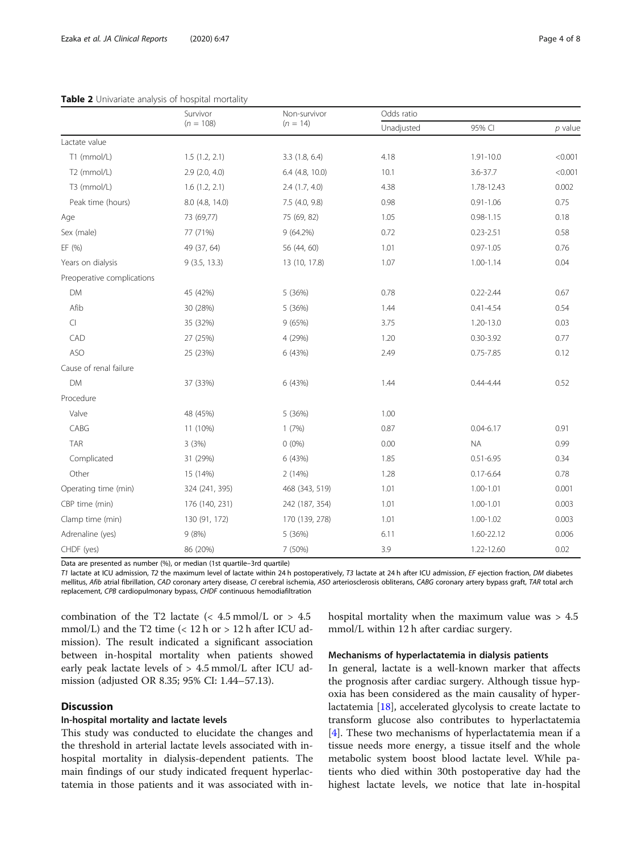|                            | Survivor           | Non-survivor<br>$(n = 14)$ | Odds ratio |               |           |
|----------------------------|--------------------|----------------------------|------------|---------------|-----------|
|                            | $(n = 108)$        |                            | Unadjusted | 95% CI        | $p$ value |
| Lactate value              |                    |                            |            |               |           |
| T1 (mmol/L)                | 1.5(1.2, 2.1)      | 3.3 (1.8, 6.4)             | 4.18       | 1.91-10.0     | < 0.001   |
| T2 (mmol/L)                | $2.9$ $(2.0, 4.0)$ | 6.4 (4.8, 10.0)            | 10.1       | 3.6-37.7      | < 0.001   |
| T3 (mmol/L)                | 1.6(1.2, 2.1)      | 2.4(1.7, 4.0)              | 4.38       | 1.78-12.43    | 0.002     |
| Peak time (hours)          | 8.0 (4.8, 14.0)    | 7.5 (4.0, 9.8)             | 0.98       | $0.91 - 1.06$ | 0.75      |
| Age                        | 73 (69,77)         | 75 (69, 82)                | 1.05       | $0.98 - 1.15$ | 0.18      |
| Sex (male)                 | 77 (71%)           | 9 (64.2%)                  | 0.72       | $0.23 - 2.51$ | 0.58      |
| EF (%)                     | 49 (37, 64)        | 56 (44, 60)                | 1.01       | $0.97 - 1.05$ | 0.76      |
| Years on dialysis          | 9(3.5, 13.3)       | 13 (10, 17.8)              | 1.07       | $1.00 - 1.14$ | 0.04      |
| Preoperative complications |                    |                            |            |               |           |
| <b>DM</b>                  | 45 (42%)           | 5 (36%)                    | 0.78       | $0.22 - 2.44$ | 0.67      |
| Afib                       | 30 (28%)           | 5 (36%)                    | 1.44       | $0.41 - 4.54$ | 0.54      |
| $\Box$                     | 35 (32%)           | 9(65%)                     | 3.75       | 1.20-13.0     | 0.03      |
| CAD                        | 27 (25%)           | 4 (29%)                    | 1.20       | $0.30 - 3.92$ | 0.77      |
| <b>ASO</b>                 | 25 (23%)           | 6 (43%)                    | 2.49       | $0.75 - 7.85$ | 0.12      |
| Cause of renal failure     |                    |                            |            |               |           |
| DM                         | 37 (33%)           | 6 (43%)                    | 1.44       | 0.44-4.44     | 0.52      |
| Procedure                  |                    |                            |            |               |           |
| Valve                      | 48 (45%)           | 5 (36%)                    | 1.00       |               |           |
| CABG                       | 11 (10%)           | 1(7%)                      | 0.87       | $0.04 - 6.17$ | 0.91      |
| <b>TAR</b>                 | 3 (3%)             | $0(0\%)$                   | 0.00       | <b>NA</b>     | 0.99      |
| Complicated                | 31 (29%)           | 6 (43%)                    | 1.85       | $0.51 - 6.95$ | 0.34      |
| Other                      | 15 (14%)           | 2(14%)                     | 1.28       | $0.17 - 6.64$ | 0.78      |
| Operating time (min)       | 324 (241, 395)     | 468 (343, 519)             | 1.01       | $1.00 - 1.01$ | 0.001     |
| CBP time (min)             | 176 (140, 231)     | 242 (187, 354)             | 1.01       | $1.00 - 1.01$ | 0.003     |
| Clamp time (min)           | 130 (91, 172)      | 170 (139, 278)             | 1.01       | $1.00 - 1.02$ | 0.003     |
| Adrenaline (yes)           | 9(8%)              | 5 (36%)                    | 6.11       | 1.60-22.12    | 0.006     |
| CHDF (yes)                 | 86 (20%)           | 7 (50%)                    | 3.9        | 1.22-12.60    | 0.02      |

#### <span id="page-3-0"></span>Table 2 Univariate analysis of hospital mortality

Data are presented as number (%), or median (1st quartile–3rd quartile)

T1 lactate at ICU admission, T2 the maximum level of lactate within 24 h postoperatively, T3 lactate at 24 h after ICU admission, EF ejection fraction, DM diabetes mellitus, Afib atrial fibrillation, CAD coronary artery disease, CI cerebral ischemia, ASO arteriosclerosis obliterans, CABG coronary artery bypass graft, TAR total arch replacement, CPB cardiopulmonary bypass, CHDF continuous hemodiafiltration

combination of the T2 lactate  $\langle$  4.5 mmol/L or > 4.5 mmol/L) and the T2 time  $(< 12$  h or  $> 12$  h after ICU admission). The result indicated a significant association between in-hospital mortality when patients showed early peak lactate levels of > 4.5 mmol/L after ICU admission (adjusted OR 8.35; 95% CI: 1.44–57.13).

#### **Discussion**

#### In-hospital mortality and lactate levels

This study was conducted to elucidate the changes and the threshold in arterial lactate levels associated with inhospital mortality in dialysis-dependent patients. The main findings of our study indicated frequent hyperlactatemia in those patients and it was associated with inhospital mortality when the maximum value was > 4.5 mmol/L within 12 h after cardiac surgery.

#### Mechanisms of hyperlactatemia in dialysis patients

In general, lactate is a well-known marker that affects the prognosis after cardiac surgery. Although tissue hypoxia has been considered as the main causality of hyperlactatemia [[18\]](#page-6-0), accelerated glycolysis to create lactate to transform glucose also contributes to hyperlactatemia [[4\]](#page-6-0). These two mechanisms of hyperlactatemia mean if a tissue needs more energy, a tissue itself and the whole metabolic system boost blood lactate level. While patients who died within 30th postoperative day had the highest lactate levels, we notice that late in-hospital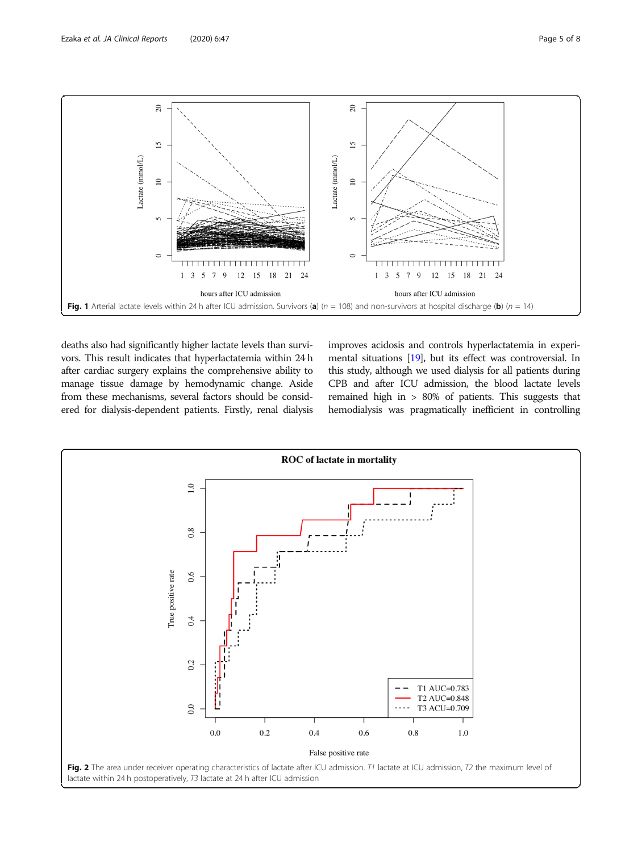<span id="page-4-0"></span>

deaths also had significantly higher lactate levels than survivors. This result indicates that hyperlactatemia within 24 h after cardiac surgery explains the comprehensive ability to manage tissue damage by hemodynamic change. Aside from these mechanisms, several factors should be considered for dialysis-dependent patients. Firstly, renal dialysis

improves acidosis and controls hyperlactatemia in experimental situations [[19\]](#page-6-0), but its effect was controversial. In this study, although we used dialysis for all patients during CPB and after ICU admission, the blood lactate levels remained high in > 80% of patients. This suggests that hemodialysis was pragmatically inefficient in controlling

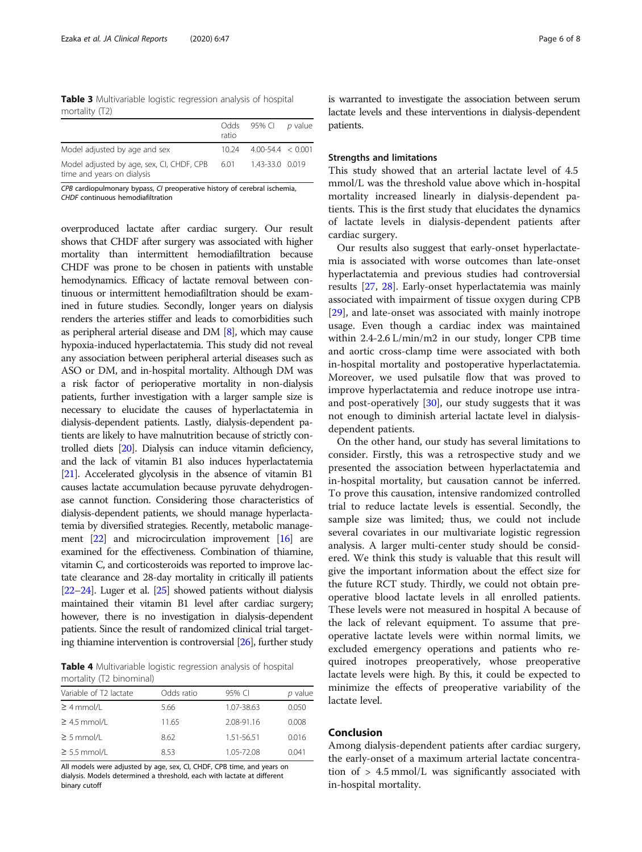<span id="page-5-0"></span>Table 3 Multivariable logistic regression analysis of hospital mortality (T2)

|                                                                         | ratio | Odds 95% Cl p value       |  |
|-------------------------------------------------------------------------|-------|---------------------------|--|
| Model adjusted by age and sex                                           |       | $10.24$ 4.00-54.4 < 0.001 |  |
| Model adjusted by age, sex, CI, CHDF, CPB<br>time and years on dialysis | 6.01  | 1.43-33.0 0.019           |  |

CPB cardiopulmonary bypass, CI preoperative history of cerebral ischemia, CHDF continuous hemodiafiltration

overproduced lactate after cardiac surgery. Our result shows that CHDF after surgery was associated with higher mortality than intermittent hemodiafiltration because CHDF was prone to be chosen in patients with unstable hemodynamics. Efficacy of lactate removal between continuous or intermittent hemodiafiltration should be examined in future studies. Secondly, longer years on dialysis renders the arteries stiffer and leads to comorbidities such as peripheral arterial disease and DM [\[8\]](#page-6-0), which may cause hypoxia-induced hyperlactatemia. This study did not reveal any association between peripheral arterial diseases such as ASO or DM, and in-hospital mortality. Although DM was a risk factor of perioperative mortality in non-dialysis patients, further investigation with a larger sample size is necessary to elucidate the causes of hyperlactatemia in dialysis-dependent patients. Lastly, dialysis-dependent patients are likely to have malnutrition because of strictly controlled diets [[20](#page-6-0)]. Dialysis can induce vitamin deficiency, and the lack of vitamin B1 also induces hyperlactatemia [[21](#page-6-0)]. Accelerated glycolysis in the absence of vitamin B1 causes lactate accumulation because pyruvate dehydrogenase cannot function. Considering those characteristics of dialysis-dependent patients, we should manage hyperlactatemia by diversified strategies. Recently, metabolic manage-ment [[22\]](#page-6-0) and microcirculation improvement [[16](#page-6-0)] are examined for the effectiveness. Combination of thiamine, vitamin C, and corticosteroids was reported to improve lactate clearance and 28-day mortality in critically ill patients [[22](#page-6-0)–[24](#page-6-0)]. Luger et al. [\[25\]](#page-6-0) showed patients without dialysis maintained their vitamin B1 level after cardiac surgery; however, there is no investigation in dialysis-dependent patients. Since the result of randomized clinical trial targeting thiamine intervention is controversial [[26](#page-6-0)], further study

Table 4 Multivariable logistic regression analysis of hospital mortality (T2 binominal)

| Variable of T2 lactate | Odds ratio | 95% CI     | p value |
|------------------------|------------|------------|---------|
| $\geq 4$ mmol/L        | 5.66       | 1.07-38.63 | 0.050   |
| $\geq$ 4.5 mmol/L      | 11.65      | 2.08-91.16 | 0.008   |
| $\geq$ 5 mmol/L        | 8.62       | 1.51-56.51 | 0.016   |
| $\geq$ 5.5 mmol/L      | 8.53       | 1.05-72.08 | 0.041   |

All models were adjusted by age, sex, CI, CHDF, CPB time, and years on dialysis. Models determined a threshold, each with lactate at different binary cutoff

is warranted to investigate the association between serum lactate levels and these interventions in dialysis-dependent patients.

#### Strengths and limitations

This study showed that an arterial lactate level of 4.5 mmol/L was the threshold value above which in-hospital mortality increased linearly in dialysis-dependent patients. This is the first study that elucidates the dynamics of lactate levels in dialysis-dependent patients after cardiac surgery.

Our results also suggest that early-onset hyperlactatemia is associated with worse outcomes than late-onset hyperlactatemia and previous studies had controversial results [[27](#page-6-0), [28](#page-6-0)]. Early-onset hyperlactatemia was mainly associated with impairment of tissue oxygen during CPB [[29\]](#page-6-0), and late-onset was associated with mainly inotrope usage. Even though a cardiac index was maintained within 2.4-2.6 L/min/m2 in our study, longer CPB time and aortic cross-clamp time were associated with both in-hospital mortality and postoperative hyperlactatemia. Moreover, we used pulsatile flow that was proved to improve hyperlactatemia and reduce inotrope use intraand post-operatively [\[30](#page-7-0)], our study suggests that it was not enough to diminish arterial lactate level in dialysisdependent patients.

On the other hand, our study has several limitations to consider. Firstly, this was a retrospective study and we presented the association between hyperlactatemia and in-hospital mortality, but causation cannot be inferred. To prove this causation, intensive randomized controlled trial to reduce lactate levels is essential. Secondly, the sample size was limited; thus, we could not include several covariates in our multivariate logistic regression analysis. A larger multi-center study should be considered. We think this study is valuable that this result will give the important information about the effect size for the future RCT study. Thirdly, we could not obtain preoperative blood lactate levels in all enrolled patients. These levels were not measured in hospital A because of the lack of relevant equipment. To assume that preoperative lactate levels were within normal limits, we excluded emergency operations and patients who required inotropes preoperatively, whose preoperative lactate levels were high. By this, it could be expected to minimize the effects of preoperative variability of the lactate level.

### Conclusion

Among dialysis-dependent patients after cardiac surgery, the early-onset of a maximum arterial lactate concentration of > 4.5 mmol/L was significantly associated with in-hospital mortality.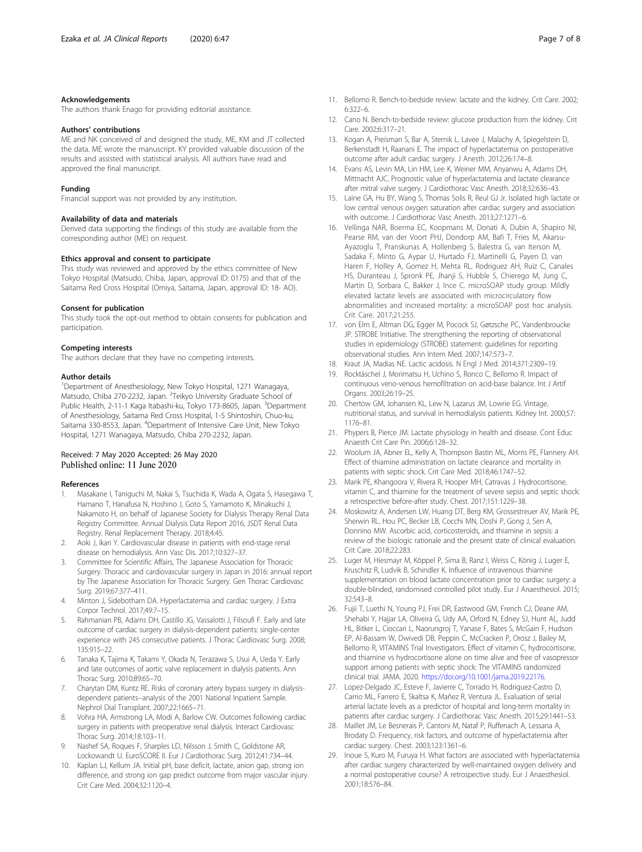#### <span id="page-6-0"></span>Acknowledgements

The authors thank Enago for providing editorial assistance.

#### Authors' contributions

ME and NK conceived of and designed the study, ME, KM and JT collected the data. ME wrote the manuscript. KY provided valuable discussion of the results and assisted with statistical analysis. All authors have read and approved the final manuscript.

#### Funding

Financial support was not provided by any institution.

#### Availability of data and materials

Derived data supporting the findings of this study are available from the corresponding author (ME) on request.

#### Ethics approval and consent to participate

This study was reviewed and approved by the ethics committee of New Tokyo Hospital (Matsudo, Chiba, Japan, approval ID: 0175) and that of the Saitama Red Cross Hospital (Omiya, Saitama, Japan, approval ID: 18- AO).

#### Consent for publication

This study took the opt-out method to obtain consents for publication and participation.

#### Competing interests

The authors declare that they have no competing interests.

#### Author details

<sup>1</sup>Department of Anesthesiology, New Tokyo Hospital, 1271 Wanagaya, Matsudo, Chiba 270-2232, Japan. <sup>2</sup>Teikyo University Graduate School of Public Health, 2-11-1 Kaga Itabashi-ku, Tokyo 173-8605, Japan. <sup>3</sup>Department of Anesthesiology, Saitama Red Cross Hospital, 1-5 Shintoshin, Chuo-ku, Saitama 330-8553, Japan. <sup>4</sup>Department of Intensive Care Unit, New Tokyo Hospital, 1271 Wanagaya, Matsudo, Chiba 270-2232, Japan.

#### Received: 7 May 2020 Accepted: 26 May 2020 Published online: 11 June 2020

#### References

- 1. Masakane I, Taniguchi M, Nakai S, Tsuchida K, Wada A, Ogata S, Hasegawa T, Hamano T, Hanafusa N, Hoshino J, Goto S, Yamamoto K, Minakuchi J, Nakamoto H, on behalf of Japanese Society for Dialysis Therapy Renal Data Registry Committee. Annual Dialysis Data Report 2016, JSDT Renal Data Registry. Renal Replacement Therapy. 2018;4:45.
- 2. Aoki J, Ikari Y. Cardiovascular disease in patients with end-stage renal disease on hemodialysis. Ann Vasc Dis. 2017;10:327–37.
- 3. Committee for Scientific Affairs, The Japanese Association for Thoracic Surgery. Thoracic and cardiovascular surgery in Japan in 2016: annual report by The Japanese Association for Thoracic Surgery. Gen Thorac Cardiovasc Surg. 2019;67:377–411.
- 4. Minton J, Sidebotham DA. Hyperlactatemia and cardiac surgery. J Extra Corpor Technol. 2017;49:7–15.
- 5. Rahmanian PB, Adams DH, Castillo JG, Vassalotti J, Filsoufi F. Early and late outcome of cardiac surgery in dialysis-dependent patients: single-center experience with 245 consecutive patients. J Thorac Cardiovasc Surg. 2008; 135:915–22.
- 6. Tanaka K, Tajima K, Takami Y, Okada N, Terazawa S, Usui A, Ueda Y. Early and late outcomes of aortic valve replacement in dialysis patients. Ann Thorac Surg. 2010;89:65–70.
- 7. Charytan DM, Kuntz RE. Risks of coronary artery bypass surgery in dialysisdependent patients--analysis of the 2001 National Inpatient Sample. Nephrol Dial Transplant. 2007;22:1665–71.
- 8. Vohra HA, Armstrong LA, Modi A, Barlow CW. Outcomes following cardiac surgery in patients with preoperative renal dialysis. Interact Cardiovasc Thorac Surg. 2014;18:103–11.
- 9. Nashef SA, Roques F, Sharples LD, Nilsson J, Smith C, Goldstone AR, Lockowandt U. EuroSCORE II. Eur J Cardiothorac Surg. 2012;41:734–44.
- 10. Kaplan LJ, Kellum JA. Initial pH, base deficit, lactate, anion gap, strong ion difference, and strong ion gap predict outcome from major vascular injury. Crit Care Med. 2004;32:1120–4.
- 11. Bellomo R. Bench-to-bedside review: lactate and the kidney. Crit Care. 2002; 6:322–6.
- 12. Cano N. Bench-to-bedside review: glucose production from the kidney. Crit Care. 2002;6:317–21.
- 13. Kogan A, Preisman S, Bar A, Sternik L, Lavee J, Malachy A, Spiegelstein D, Berkenstadt H, Raanani E. The impact of hyperlactatemia on postoperative outcome after adult cardiac surgery. J Anesth. 2012;26:174–8.
- 14. Evans AS, Levin MA, Lin HM, Lee K, Weiner MM, Anyanwu A, Adams DH, Mittnacht AJC. Prognostic value of hyperlactatemia and lactate clearance after mitral valve surgery. J Cardiothorac Vasc Anesth. 2018;32:636–43.
- 15. Laine GA, Hu BY, Wang S, Thomas Solis R, Reul GJ Jr. Isolated high lactate or low central venous oxygen saturation after cardiac surgery and association with outcome. J Cardiothorac Vasc Anesth. 2013;27:1271–6.
- 16. Vellinga NAR, Boerma EC, Koopmans M, Donati A, Dubin A, Shapiro NI, Pearse RM, van der Voort PHJ, Dondorp AM, Bafi T, Fries M, Akarsu-Ayazoglu T, Pranskunas A, Hollenberg S, Balestra G, van Iterson M, Sadaka F, Minto G, Aypar U, Hurtado FJ, Martinelli G, Payen D, van Haren F, Holley A, Gomez H, Mehta RL, Rodriguez AH, Ruiz C, Canales HS, Duranteau J, Spronk PE, Jhanji S, Hubble S, Chierego M, Jung C, Martin D, Sorbara C, Bakker J, Ince C. microSOAP study group. Mildly elevated lactate levels are associated with microcirculatory flow abnormalities and increased mortality: a microSOAP post hoc analysis. Crit Care. 2017;21:255.
- 17. von Elm E, Altman DG, Egger M, Pocock SJ, Gøtzsche PC, Vandenbroucke JP. STROBE Initiative. The strengthening the reporting of observational studies in epidemiology (STROBE) statement: guidelines for reporting observational studies. Ann Intern Med. 2007;147:573–7.
- 18. Kraut JA, Madias NE. Lactic acidosis. N Engl J Med. 2014;371:2309–19.
- 19. Rocktäschel J, Morimatsu H, Uchino S, Ronco C, Bellomo R. Impact of continuous veno-venous hemofiltration on acid-base balance. Int J Artif Organs. 2003;26:19–25.
- 20. Chertow GM, Johansen KL, Lew N, Lazarus JM, Lowrie EG. Vintage, nutritional status, and survival in hemodialysis patients. Kidney Int. 2000;57: 1176–81.
- 21. Phypers B, Pierce JM. Lactate physiology in health and disease. Cont Educ Anaesth Crit Care Pin. 2006;6:128–32.
- 22. Woolum JA, Abner EL, Kelly A, Thompson Bastin ML, Morris PE, Flannery AH. Effect of thiamine administration on lactate clearance and mortality in patients with septic shock. Crit Care Med. 2018;46:1747–52.
- 23. Marik PE, Khangoora V, Rivera R, Hooper MH, Catravas J. Hydrocortisone, vitamin C, and thiamine for the treatment of severe sepsis and septic shock: a retrospective before-after study. Chest. 2017;151:1229–38.
- 24. Moskowitz A, Andersen LW, Huang DT, Berg KM, Grossestreuer AV, Marik PE, Sherwin RL, Hou PC, Becker LB, Cocchi MN, Doshi P, Gong J, Sen A, Donnino MW. Ascorbic acid, corticosteroids, and thiamine in sepsis: a review of the biologic rationale and the present state of clinical evaluation. Crit Care. 2018;22:283.
- 25. Luger M, Hiesmayr M, Köppel P, Sima B, Ranz I, Weiss C, König J, Luger E, Kruschitz R, Ludvik B, Schindler K. Influence of intravenous thiamine supplementation on blood lactate concentration prior to cardiac surgery: a double-blinded, randomised controlled pilot study. Eur J Anaesthesiol. 2015; 32:543–8.
- 26. Fujii T, Luethi N, Young PJ, Frei DR, Eastwood GM, French CJ, Deane AM, Shehabi Y, Hajjar LA, Oliveira G, Udy AA, Orford N, Edney SJ, Hunt AL, Judd HL, Bitker L, Cioccari L, Naorungroj T, Yanase F, Bates S, McGain F, Hudson EP, Al-Bassam W, Dwivedi DB, Peppin C, McCracken P, Orosz J, Bailey M, Bellomo R, VITAMINS Trial Investigators. Effect of vitamin C, hydrocortisone, and thiamine vs hydrocortisone alone on time alive and free of vasopressor support among patients with septic shock: The VITAMINS randomized clinical trial. JAMA. 2020. <https://doi.org/10.1001/jama.2019.22176>.
- 27. Lopez-Delgado JC, Esteve F, Javierre C, Torrado H, Rodriguez-Castro D, Carrio ML, Farrero E, Skaltsa K, Mañez R, Ventura JL. Evaluation of serial arterial lactate levels as a predictor of hospital and long-term mortality in patients after cardiac surgery. J Cardiothorac Vasc Anesth. 2015;29:1441–53.
- 28. Maillet JM, Le Besnerais P, Cantoni M, Nataf P, Ruffenach A, Lessana A, Brodaty D. Frequency, risk factors, and outcome of hyperlactatemia after cardiac surgery. Chest. 2003;123:1361–6.
- 29. Inoue S, Kuro M, Furuya H. What factors are associated with hyperlactatemia after cardiac surgery characterized by well-maintained oxygen delivery and a normal postoperative course? A retrospective study. Eur J Anaesthesiol. 2001;18:576–84.